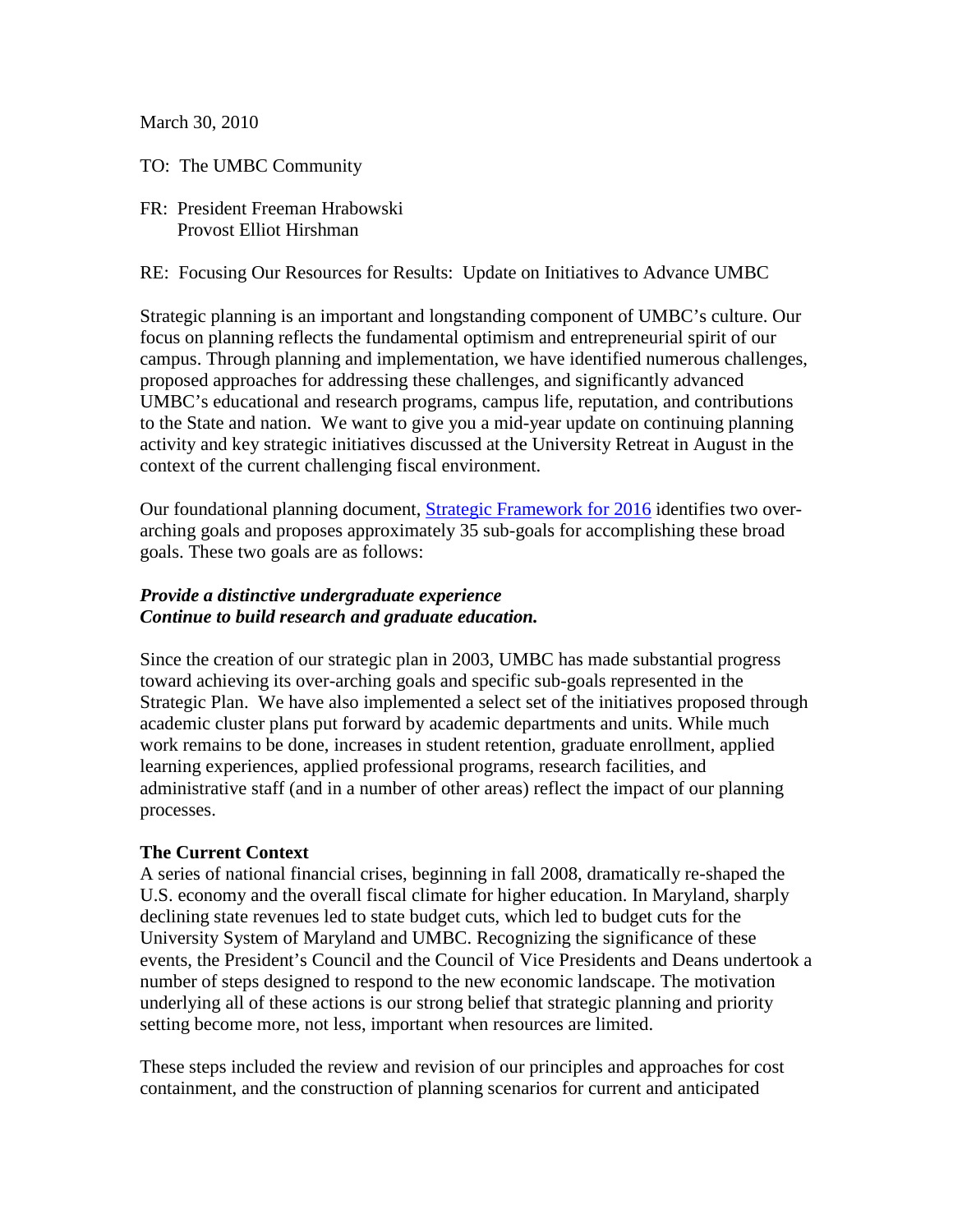March 30, 2010

TO: The UMBC Community

FR: President Freeman Hrabowski Provost Elliot Hirshman

RE: Focusing Our Resources for Results: Update on Initiatives to Advance UMBC

Strategic planning is an important and longstanding component of UMBC's culture. Our focus on planning reflects the fundamental optimism and entrepreneurial spirit of our campus. Through planning and implementation, we have identified numerous challenges, proposed approaches for addressing these challenges, and significantly advanced UMBC's educational and research programs, campus life, reputation, and contributions to the State and nation. We want to give you a mid-year update on continuing planning activity and key strategic initiatives discussed at the University Retreat in August in the context of the current challenging fiscal environment.

Our foundational planning document, [Strategic Framework for 2016](http://www.umbc.edu/provost/PDFs/frameworkfinal.pdf) identifies two overarching goals and proposes approximately 35 sub-goals for accomplishing these broad goals. These two goals are as follows:

## *Provide a distinctive undergraduate experience Continue to build research and graduate education.*

Since the creation of our strategic plan in 2003, UMBC has made substantial progress toward achieving its over-arching goals and specific sub-goals represented in the Strategic Plan. We have also implemented a select set of the initiatives proposed through academic cluster plans put forward by academic departments and units. While much work remains to be done, increases in student retention, graduate enrollment, applied learning experiences, applied professional programs, research facilities, and administrative staff (and in a number of other areas) reflect the impact of our planning processes.

#### **The Current Context**

A series of national financial crises, beginning in fall 2008, dramatically re-shaped the U.S. economy and the overall fiscal climate for higher education. In Maryland, sharply declining state revenues led to state budget cuts, which led to budget cuts for the University System of Maryland and UMBC. Recognizing the significance of these events, the President's Council and the Council of Vice Presidents and Deans undertook a number of steps designed to respond to the new economic landscape. The motivation underlying all of these actions is our strong belief that strategic planning and priority setting become more, not less, important when resources are limited.

These steps included the review and revision of our principles and approaches for cost containment, and the construction of planning scenarios for current and anticipated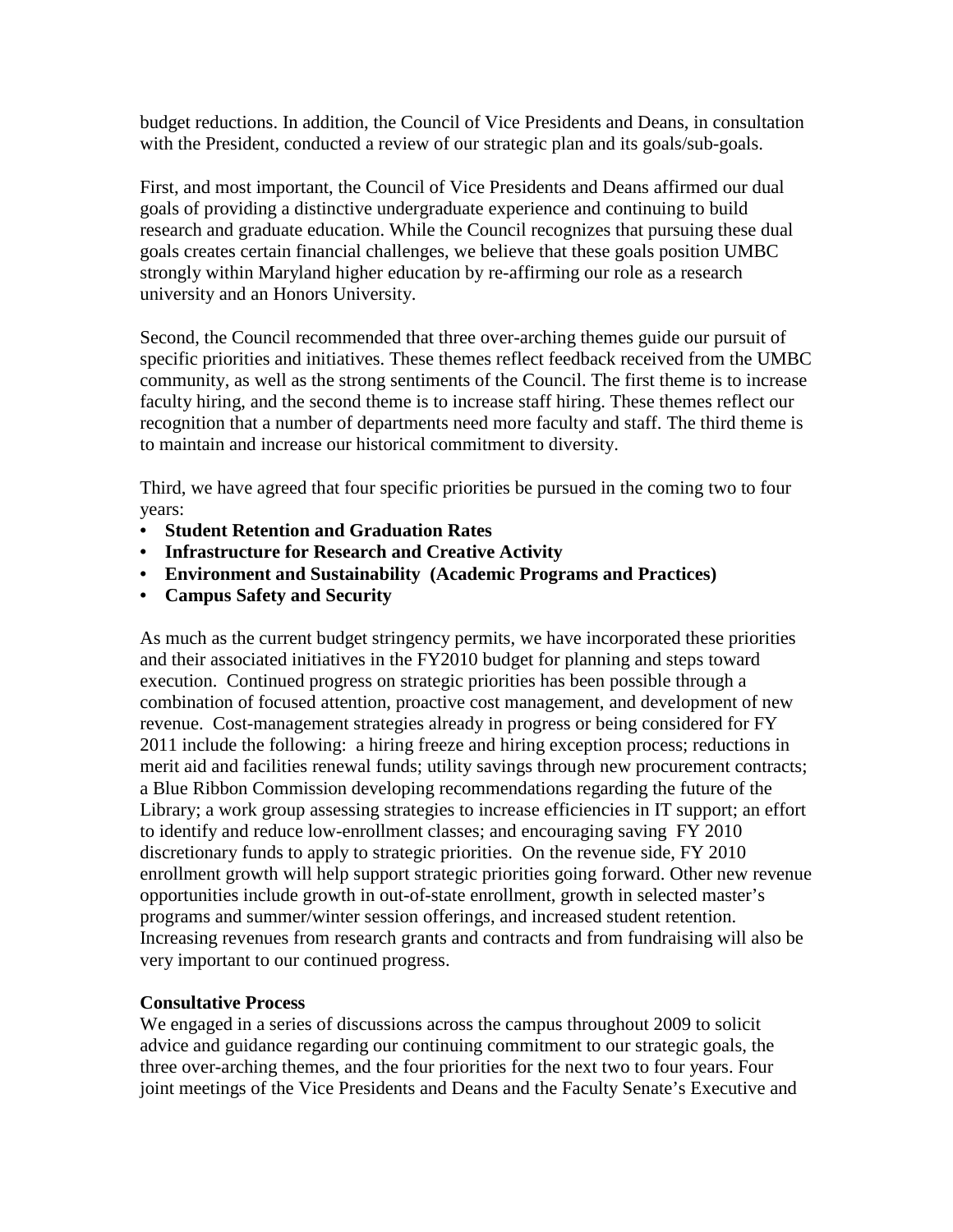budget reductions. In addition, the Council of Vice Presidents and Deans, in consultation with the President, conducted a review of our strategic plan and its goals/sub-goals.

First, and most important, the Council of Vice Presidents and Deans affirmed our dual goals of providing a distinctive undergraduate experience and continuing to build research and graduate education. While the Council recognizes that pursuing these dual goals creates certain financial challenges, we believe that these goals position UMBC strongly within Maryland higher education by re-affirming our role as a research university and an Honors University.

Second, the Council recommended that three over-arching themes guide our pursuit of specific priorities and initiatives. These themes reflect feedback received from the UMBC community, as well as the strong sentiments of the Council. The first theme is to increase faculty hiring, and the second theme is to increase staff hiring. These themes reflect our recognition that a number of departments need more faculty and staff. The third theme is to maintain and increase our historical commitment to diversity.

Third, we have agreed that four specific priorities be pursued in the coming two to four years:

- **Student Retention and Graduation Rates**
- **Infrastructure for Research and Creative Activity**
- **Environment and Sustainability (Academic Programs and Practices)**
- **Campus Safety and Security**

As much as the current budget stringency permits, we have incorporated these priorities and their associated initiatives in the FY2010 budget for planning and steps toward execution. Continued progress on strategic priorities has been possible through a combination of focused attention, proactive cost management, and development of new revenue. Cost-management strategies already in progress or being considered for FY 2011 include the following: a hiring freeze and hiring exception process; reductions in merit aid and facilities renewal funds; utility savings through new procurement contracts; a Blue Ribbon Commission developing recommendations regarding the future of the Library; a work group assessing strategies to increase efficiencies in IT support; an effort to identify and reduce low-enrollment classes; and encouraging saving FY 2010 discretionary funds to apply to strategic priorities. On the revenue side, FY 2010 enrollment growth will help support strategic priorities going forward. Other new revenue opportunities include growth in out-of-state enrollment, growth in selected master's programs and summer/winter session offerings, and increased student retention. Increasing revenues from research grants and contracts and from fundraising will also be very important to our continued progress.

## **Consultative Process**

We engaged in a series of discussions across the campus throughout 2009 to solicit advice and guidance regarding our continuing commitment to our strategic goals, the three over-arching themes, and the four priorities for the next two to four years. Four joint meetings of the Vice Presidents and Deans and the Faculty Senate's Executive and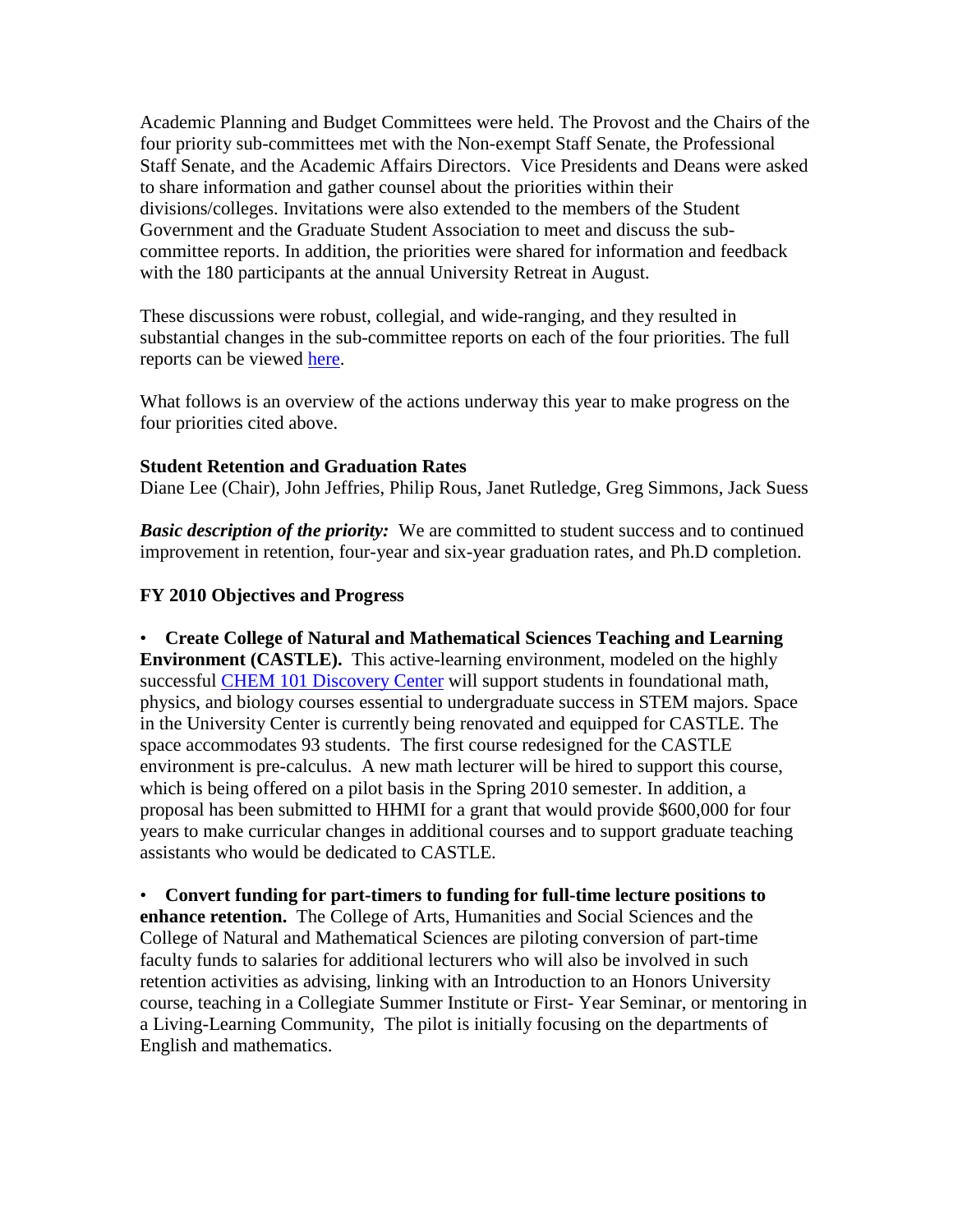Academic Planning and Budget Committees were held. The Provost and the Chairs of the four priority sub-committees met with the Non-exempt Staff Senate, the Professional Staff Senate, and the Academic Affairs Directors. Vice Presidents and Deans were asked to share information and gather counsel about the priorities within their divisions/colleges. Invitations were also extended to the members of the Student Government and the Graduate Student Association to meet and discuss the subcommittee reports. In addition, the priorities were shared for information and feedback with the 180 participants at the annual University Retreat in August.

These discussions were robust, collegial, and wide-ranging, and they resulted in substantial changes in the sub-committee reports on each of the four priorities. The full reports can be viewed [here.](http://www.umbc.edu/provost/planning/Focusing_Our_Resources_for_Results.pdf)

What follows is an overview of the actions underway this year to make progress on the four priorities cited above.

#### **Student Retention and Graduation Rates**

Diane Lee (Chair), John Jeffries, Philip Rous, Janet Rutledge, Greg Simmons, Jack Suess

*Basic description of the priority:* We are committed to student success and to continued improvement in retention, four-year and six-year graduation rates, and Ph.D completion.

## **FY 2010 Objectives and Progress**

• **Create College of Natural and Mathematical Sciences Teaching and Learning Environment (CASTLE).** This active-learning environment, modeled on the highly successful [CHEM 101 Discovery Center](http://www.umbc.edu/window/chem101.html) will support students in foundational math, physics, and biology courses essential to undergraduate success in STEM majors. Space in the University Center is currently being renovated and equipped for CASTLE. The space accommodates 93 students. The first course redesigned for the CASTLE environment is pre-calculus. A new math lecturer will be hired to support this course, which is being offered on a pilot basis in the Spring 2010 semester. In addition, a proposal has been submitted to HHMI for a grant that would provide \$600,000 for four years to make curricular changes in additional courses and to support graduate teaching assistants who would be dedicated to CASTLE.

• **Convert funding for part-timers to funding for full-time lecture positions to enhance retention.** The College of Arts, Humanities and Social Sciences and the College of Natural and Mathematical Sciences are piloting conversion of part-time faculty funds to salaries for additional lecturers who will also be involved in such retention activities as advising, linking with an Introduction to an Honors University course, teaching in a Collegiate Summer Institute or First- Year Seminar, or mentoring in a Living-Learning Community, The pilot is initially focusing on the departments of English and mathematics.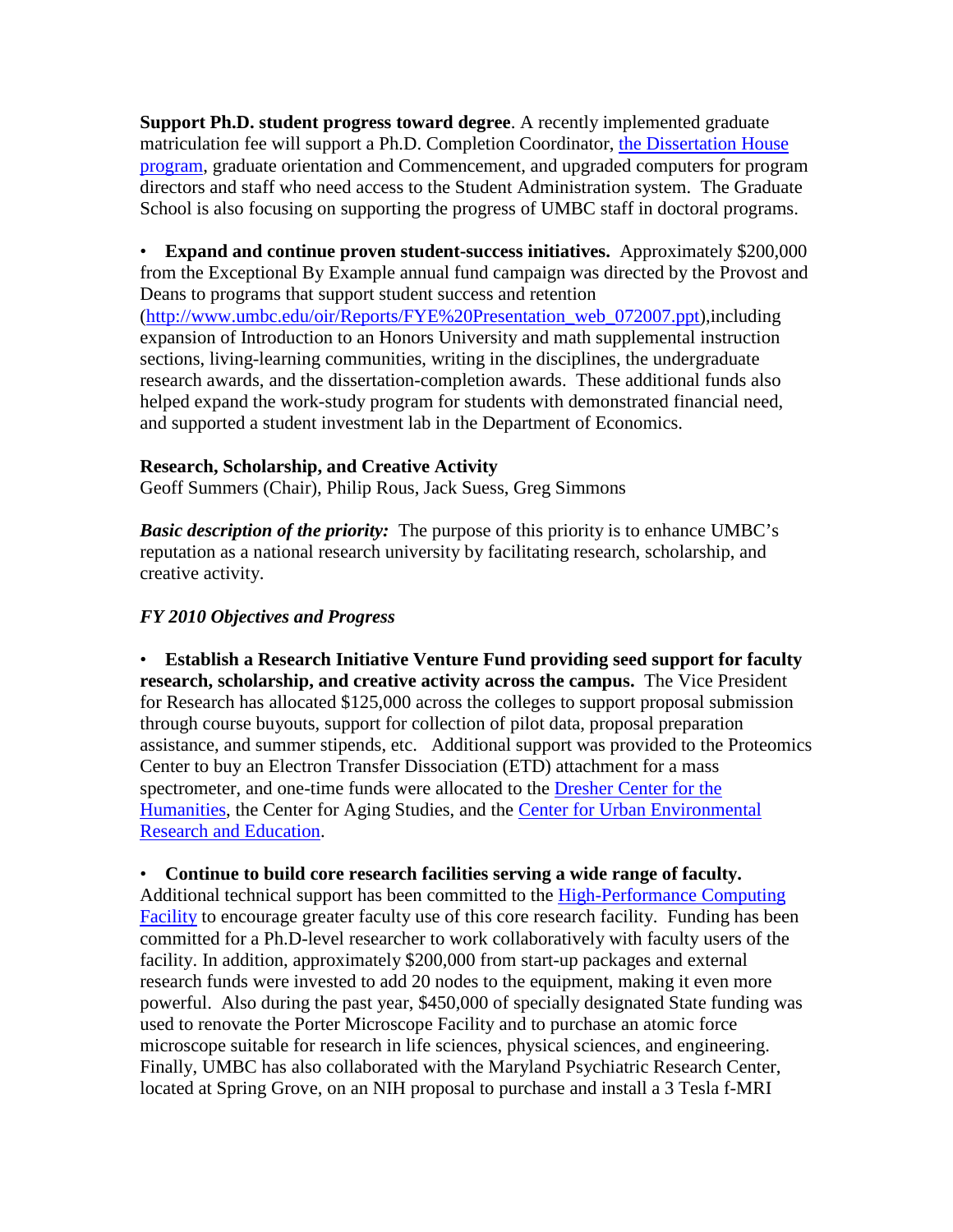**Support Ph.D. student progress toward degree**. A recently implemented graduate matriculation fee will support a Ph.D. Completion Coordinator, [the Dissertation House](http://sites.google.com/site/dissertationhouse/)  [program,](http://sites.google.com/site/dissertationhouse/) graduate orientation and Commencement, and upgraded computers for program directors and staff who need access to the Student Administration system. The Graduate School is also focusing on supporting the progress of UMBC staff in doctoral programs.

• **Expand and continue proven student-success initiatives.** Approximately \$200,000 from the Exceptional By Example annual fund campaign was directed by the Provost and Deans to programs that support student success and retention [\(http://www.umbc.edu/oir/Reports/FYE%20Presentation\\_web\\_072007.ppt\)](http://www.umbc.edu/oir/Reports/FYE%20Presentation_web_072007.ppt),including expansion of Introduction to an Honors University and math supplemental instruction sections, living-learning communities, writing in the disciplines, the undergraduate research awards, and the dissertation-completion awards. These additional funds also helped expand the work-study program for students with demonstrated financial need, and supported a student investment lab in the Department of Economics.

## **Research, Scholarship, and Creative Activity**

Geoff Summers (Chair), Philip Rous, Jack Suess, Greg Simmons

*Basic description of the priority:* The purpose of this priority is to enhance UMBC's reputation as a national research university by facilitating research, scholarship, and creative activity.

## *FY 2010 Objectives and Progress*

• **Establish a Research Initiative Venture Fund providing seed support for faculty research, scholarship, and creative activity across the campus.** The Vice President for Research has allocated \$125,000 across the colleges to support proposal submission through course buyouts, support for collection of pilot data, proposal preparation assistance, and summer stipends, etc. Additional support was provided to the Proteomics Center to buy an Electron Transfer Dissociation (ETD) attachment for a mass spectrometer, and one-time funds were allocated to the [Dresher Center for the](http://www.umbc.edu/dreshercenter/)  [Humanities,](http://www.umbc.edu/dreshercenter/) the Center for Aging Studies, and the Center for Urban Environmental [Research and Education.](http://www.umbc.edu/cuere)

#### • **Continue to build core research facilities serving a wide range of faculty.**

Additional technical support has been committed to the [High-Performance Computing](http://www.umbc.edu/hpcf/)  [Facility](http://www.umbc.edu/hpcf/) to encourage greater faculty use of this core research facility. Funding has been committed for a Ph.D-level researcher to work collaboratively with faculty users of the facility. In addition, approximately \$200,000 from start-up packages and external research funds were invested to add 20 nodes to the equipment, making it even more powerful. Also during the past year, \$450,000 of specially designated State funding was used to renovate the Porter Microscope Facility and to purchase an atomic force microscope suitable for research in life sciences, physical sciences, and engineering. Finally, UMBC has also collaborated with the Maryland Psychiatric Research Center, located at Spring Grove, on an NIH proposal to purchase and install a 3 Tesla f-MRI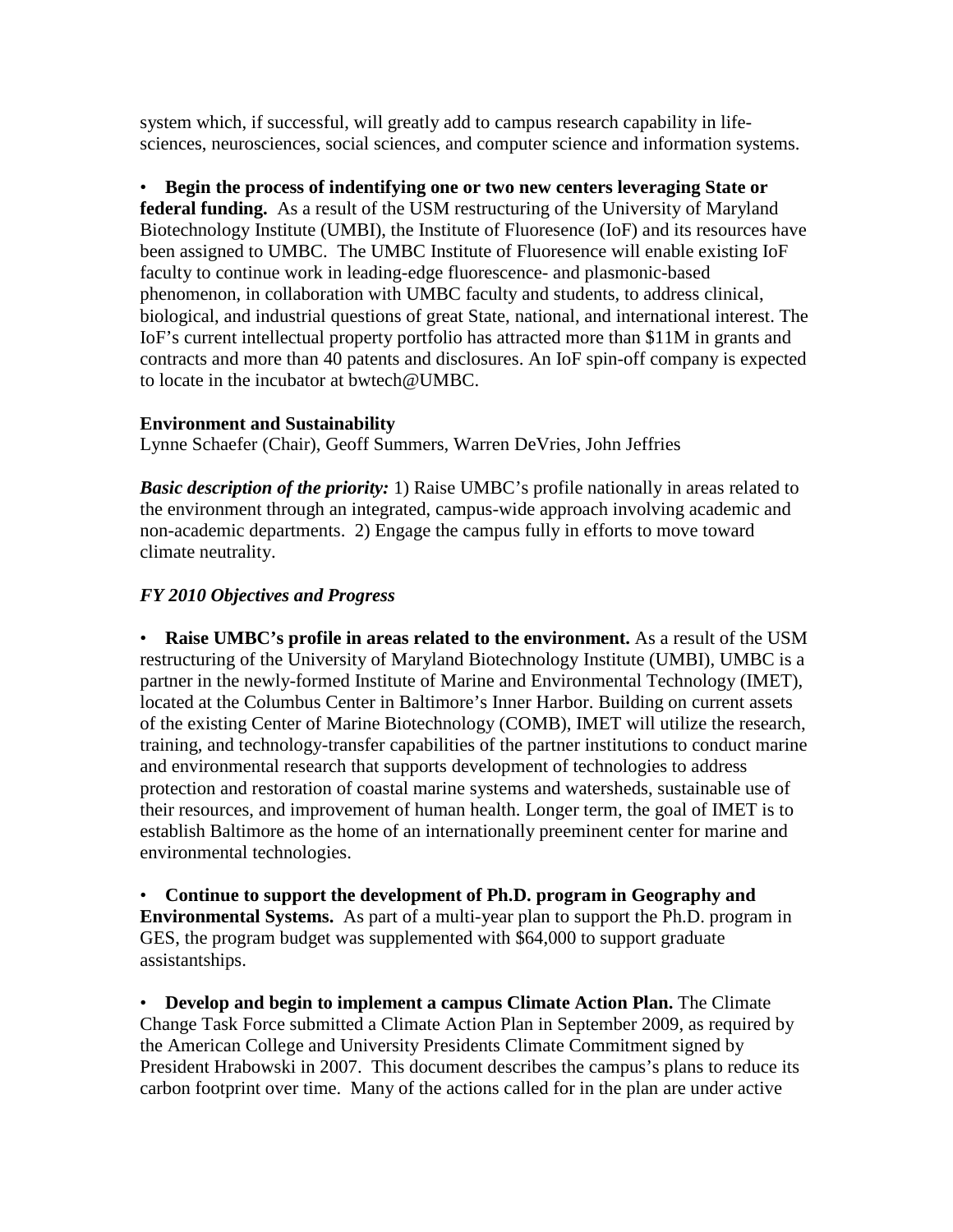system which, if successful, will greatly add to campus research capability in lifesciences, neurosciences, social sciences, and computer science and information systems.

• **Begin the process of indentifying one or two new centers leveraging State or federal funding.** As a result of the USM restructuring of the University of Maryland Biotechnology Institute (UMBI), the Institute of Fluoresence (IoF) and its resources have been assigned to UMBC. The UMBC Institute of Fluoresence will enable existing IoF faculty to continue work in leading-edge fluorescence- and plasmonic-based phenomenon, in collaboration with UMBC faculty and students, to address clinical, biological, and industrial questions of great State, national, and international interest. The IoF's current intellectual property portfolio has attracted more than \$11M in grants and contracts and more than 40 patents and disclosures. An IoF spin-off company is expected to locate in the incubator at bwtech@UMBC.

## **Environment and Sustainability**

Lynne Schaefer (Chair), Geoff Summers, Warren DeVries, John Jeffries

*Basic description of the priority:* 1) Raise UMBC's profile nationally in areas related to the environment through an integrated, campus-wide approach involving academic and non-academic departments. 2) Engage the campus fully in efforts to move toward climate neutrality.

# *FY 2010 Objectives and Progress*

• **Raise UMBC's profile in areas related to the environment.** As a result of the USM restructuring of the University of Maryland Biotechnology Institute (UMBI), UMBC is a partner in the newly-formed Institute of Marine and Environmental Technology (IMET), located at the Columbus Center in Baltimore's Inner Harbor. Building on current assets of the existing Center of Marine Biotechnology (COMB), IMET will utilize the research, training, and technology-transfer capabilities of the partner institutions to conduct marine and environmental research that supports development of technologies to address protection and restoration of coastal marine systems and watersheds, sustainable use of their resources, and improvement of human health. Longer term, the goal of IMET is to establish Baltimore as the home of an internationally preeminent center for marine and environmental technologies.

• **Continue to support the development of Ph.D. program in Geography and Environmental Systems.** As part of a multi-year plan to support the Ph.D. program in GES, the program budget was supplemented with \$64,000 to support graduate assistantships.

• **Develop and begin to implement a campus Climate Action Plan.** The Climate Change Task Force submitted a Climate Action Plan in September 2009, as required by the American College and University Presidents Climate Commitment signed by President Hrabowski in 2007. This document describes the campus's plans to reduce its carbon footprint over time. Many of the actions called for in the plan are under active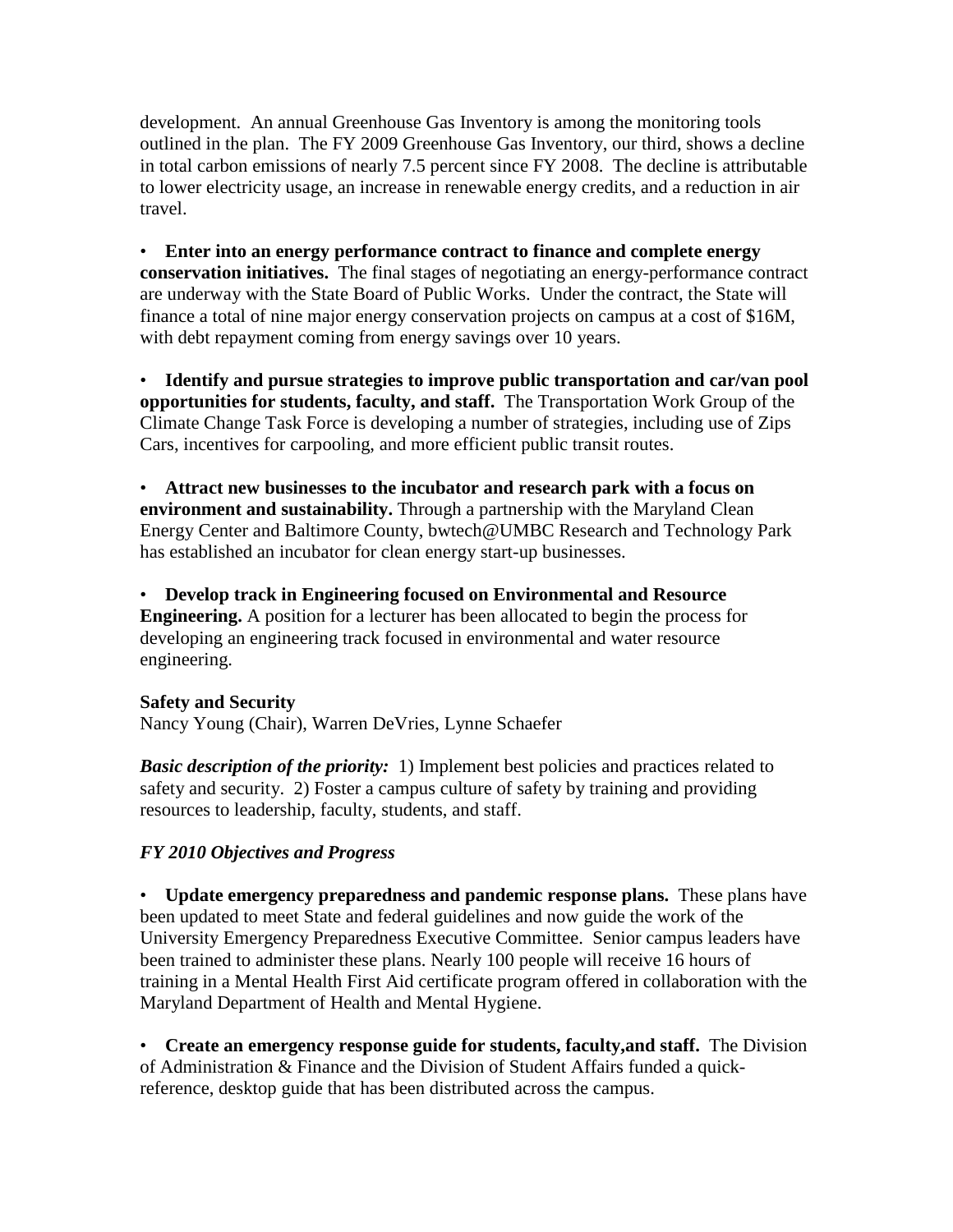development. An annual Greenhouse Gas Inventory is among the monitoring tools outlined in the plan. The FY 2009 Greenhouse Gas Inventory, our third, shows a decline in total carbon emissions of nearly 7.5 percent since FY 2008. The decline is attributable to lower electricity usage, an increase in renewable energy credits, and a reduction in air travel.

• **Enter into an energy performance contract to finance and complete energy conservation initiatives.** The final stages of negotiating an energy-performance contract are underway with the State Board of Public Works. Under the contract, the State will finance a total of nine major energy conservation projects on campus at a cost of \$16M, with debt repayment coming from energy savings over 10 years.

• **Identify and pursue strategies to improve public transportation and car/van pool opportunities for students, faculty, and staff.** The Transportation Work Group of the Climate Change Task Force is developing a number of strategies, including use of Zips Cars, incentives for carpooling, and more efficient public transit routes.

• **Attract new businesses to the incubator and research park with a focus on environment and sustainability.** Through a partnership with the Maryland Clean Energy Center and Baltimore County, bwtech@UMBC Research and Technology Park has established an incubator for clean energy start-up businesses.

• **Develop track in Engineering focused on Environmental and Resource Engineering.** A position for a lecturer has been allocated to begin the process for developing an engineering track focused in environmental and water resource engineering.

#### **Safety and Security**

Nancy Young (Chair), Warren DeVries, Lynne Schaefer

*Basic description of the priority:* 1) Implement best policies and practices related to safety and security. 2) Foster a campus culture of safety by training and providing resources to leadership, faculty, students, and staff.

# *FY 2010 Objectives and Progress*

• **Update emergency preparedness and pandemic response plans.** These plans have been updated to meet State and federal guidelines and now guide the work of the University Emergency Preparedness Executive Committee. Senior campus leaders have been trained to administer these plans. Nearly 100 people will receive 16 hours of training in a Mental Health First Aid certificate program offered in collaboration with the Maryland Department of Health and Mental Hygiene.

• **Create an emergency response guide for students, faculty,and staff.** The Division of Administration & Finance and the Division of Student Affairs funded a quickreference, desktop guide that has been distributed across the campus.